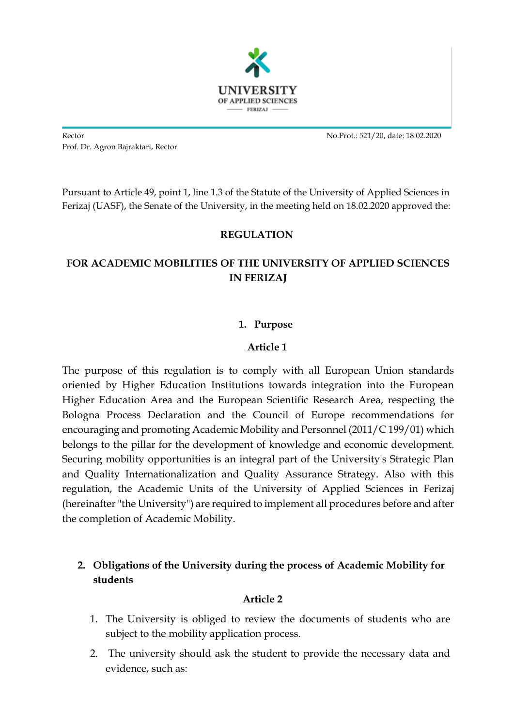

Rector No.Prot.: 521/20, date: 18.02.2020 Prof. Dr. Agron Bajraktari, Rector

Pursuant to Article 49, point 1, line 1.3 of the Statute of the University of Applied Sciences in Ferizaj (UASF), the Senate of the University, in the meeting held on 18.02.2020 approved the:

### **REGULATION**

# **FOR ACADEMIC MOBILITIES OF THE UNIVERSITY OF APPLIED SCIENCES IN FERIZAJ**

### **1. Purpose**

### **Article 1**

The purpose of this regulation is to comply with all European Union standards oriented by Higher Education Institutions towards integration into the European Higher Education Area and the European Scientific Research Area, respecting the Bologna Process Declaration and the Council of Europe recommendations for encouraging and promoting Academic Mobility and Personnel (2011/C 199/01) which belongs to the pillar for the development of knowledge and economic development. Securing mobility opportunities is an integral part of the University's Strategic Plan and Quality Internationalization and Quality Assurance Strategy. Also with this regulation, the Academic Units of the University of Applied Sciences in Ferizaj (hereinafter "the University") are required to implement all procedures before and after the completion of Academic Mobility.

## **2. Obligations of the University during the process of Academic Mobility for students**

### **Article 2**

- 1. The University is obliged to review the documents of students who are subject to the mobility application process.
- 2. The university should ask the student to provide the necessary data and evidence, such as: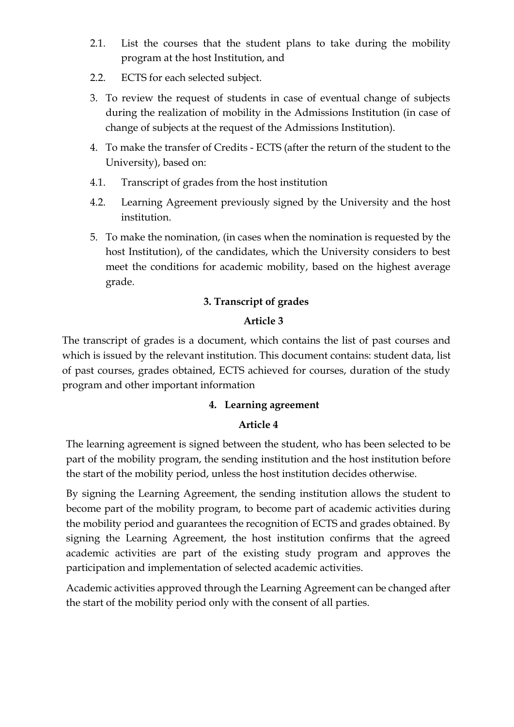- 2.1. List the courses that the student plans to take during the mobility program at the host Institution, and
- 2.2. ECTS for each selected subject.
- 3. To review the request of students in case of eventual change of subjects during the realization of mobility in the Admissions Institution (in case of change of subjects at the request of the Admissions Institution).
- 4. To make the transfer of Credits ECTS (after the return of the student to the University), based on:
- 4.1. Transcript of grades from the host institution
- 4.2. Learning Agreement previously signed by the University and the host institution.
- 5. To make the nomination, (in cases when the nomination is requested by the host Institution), of the candidates, which the University considers to best meet the conditions for academic mobility, based on the highest average grade.

## **3. Transcript of grades**

## **Article 3**

The transcript of grades is a document, which contains the list of past courses and which is issued by the relevant institution. This document contains: student data, list of past courses, grades obtained, ECTS achieved for courses, duration of the study program and other important information

### **4. Learning agreement**

### **Article 4**

The learning agreement is signed between the student, who has been selected to be part of the mobility program, the sending institution and the host institution before the start of the mobility period, unless the host institution decides otherwise.

By signing the Learning Agreement, the sending institution allows the student to become part of the mobility program, to become part of academic activities during the mobility period and guarantees the recognition of ECTS and grades obtained. By signing the Learning Agreement, the host institution confirms that the agreed academic activities are part of the existing study program and approves the participation and implementation of selected academic activities.

Academic activities approved through the Learning Agreement can be changed after the start of the mobility period only with the consent of all parties.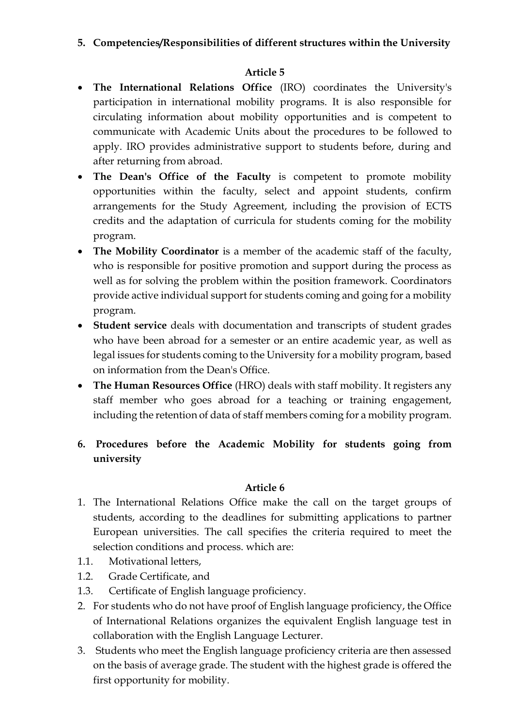## **5. Competencies/Responsibilities of different structures within the University**

## **Article 5**

- **The International Relations Office** (IRO) coordinates the University's participation in international mobility programs. It is also responsible for circulating information about mobility opportunities and is competent to communicate with Academic Units about the procedures to be followed to apply. IRO provides administrative support to students before, during and after returning from abroad.
- The Dean's Office of the Faculty is competent to promote mobility opportunities within the faculty, select and appoint students, confirm arrangements for the Study Agreement, including the provision of ECTS credits and the adaptation of curricula for students coming for the mobility program.
- The Mobility Coordinator is a member of the academic staff of the faculty, who is responsible for positive promotion and support during the process as well as for solving the problem within the position framework. Coordinators provide active individual support for students coming and going for a mobility program.
- **Student service** deals with documentation and transcripts of student grades who have been abroad for a semester or an entire academic year, as well as legal issues for students coming to the University for a mobility program, based on information from the Dean's Office.
- **The Human Resources Office** (HRO) deals with staff mobility. It registers any staff member who goes abroad for a teaching or training engagement, including the retention of data of staff members coming for a mobility program.
- **6. Procedures before the Academic Mobility for students going from university**

### **Article 6**

- 1. The International Relations Office make the call on the target groups of students, according to the deadlines for submitting applications to partner European universities. The call specifies the criteria required to meet the selection conditions and process. which are:
- 1.1. Motivational letters,
- 1.2. Grade Certificate, and
- 1.3. Certificate of English language proficiency.
- 2. For students who do not have proof of English language proficiency, the Office of International Relations organizes the equivalent English language test in collaboration with the English Language Lecturer.
- 3. Students who meet the English language proficiency criteria are then assessed on the basis of average grade. The student with the highest grade is offered the first opportunity for mobility.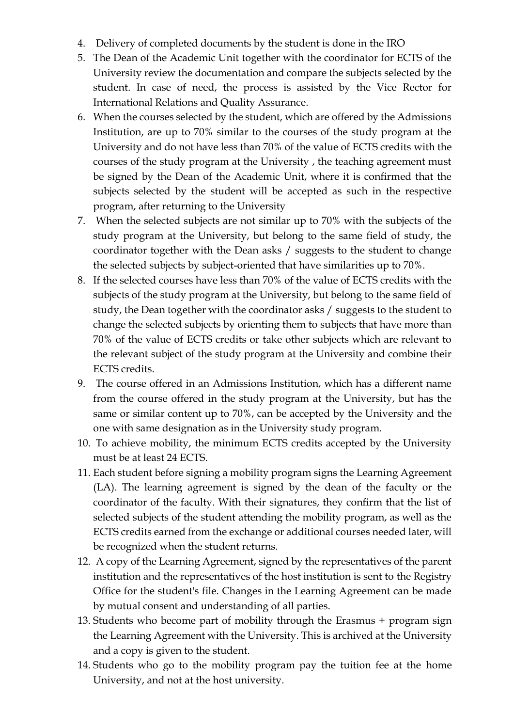- 4. Delivery of completed documents by the student is done in the IRO
- 5. The Dean of the Academic Unit together with the coordinator for ECTS of the University review the documentation and compare the subjects selected by the student. In case of need, the process is assisted by the Vice Rector for International Relations and Quality Assurance.
- 6. When the courses selected by the student, which are offered by the Admissions Institution, are up to 70% similar to the courses of the study program at the University and do not have less than 70% of the value of ECTS credits with the courses of the study program at the University , the teaching agreement must be signed by the Dean of the Academic Unit, where it is confirmed that the subjects selected by the student will be accepted as such in the respective program, after returning to the University
- 7. When the selected subjects are not similar up to 70% with the subjects of the study program at the University, but belong to the same field of study, the coordinator together with the Dean asks / suggests to the student to change the selected subjects by subject-oriented that have similarities up to 70%.
- 8. If the selected courses have less than 70% of the value of ECTS credits with the subjects of the study program at the University, but belong to the same field of study, the Dean together with the coordinator asks / suggests to the student to change the selected subjects by orienting them to subjects that have more than 70% of the value of ECTS credits or take other subjects which are relevant to the relevant subject of the study program at the University and combine their ECTS credits.
- 9. The course offered in an Admissions Institution, which has a different name from the course offered in the study program at the University, but has the same or similar content up to 70%, can be accepted by the University and the one with same designation as in the University study program.
- 10. To achieve mobility, the minimum ECTS credits accepted by the University must be at least 24 ECTS.
- 11. Each student before signing a mobility program signs the Learning Agreement (LA). The learning agreement is signed by the dean of the faculty or the coordinator of the faculty. With their signatures, they confirm that the list of selected subjects of the student attending the mobility program, as well as the ECTS credits earned from the exchange or additional courses needed later, will be recognized when the student returns.
- 12. A copy of the Learning Agreement, signed by the representatives of the parent institution and the representatives of the host institution is sent to the Registry Office for the student's file. Changes in the Learning Agreement can be made by mutual consent and understanding of all parties.
- 13. Students who become part of mobility through the Erasmus + program sign the Learning Agreement with the University. This is archived at the University and a copy is given to the student.
- 14. Students who go to the mobility program pay the tuition fee at the home University, and not at the host university.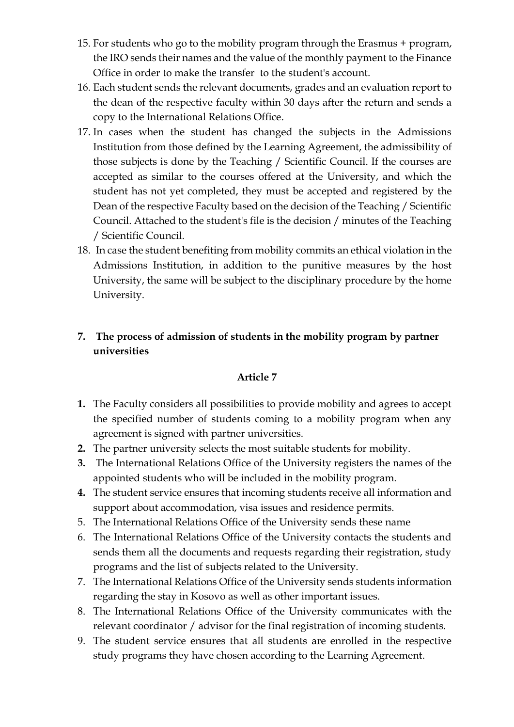- 15. For students who go to the mobility program through the Erasmus + program, the IRO sends their names and the value of the monthly payment to the Finance Office in order to make the transfer to the student's account.
- 16. Each student sends the relevant documents, grades and an evaluation report to the dean of the respective faculty within 30 days after the return and sends a copy to the International Relations Office.
- 17. In cases when the student has changed the subjects in the Admissions Institution from those defined by the Learning Agreement, the admissibility of those subjects is done by the Teaching / Scientific Council. If the courses are accepted as similar to the courses offered at the University, and which the student has not yet completed, they must be accepted and registered by the Dean of the respective Faculty based on the decision of the Teaching / Scientific Council. Attached to the student's file is the decision / minutes of the Teaching / Scientific Council.
- 18. In case the student benefiting from mobility commits an ethical violation in the Admissions Institution, in addition to the punitive measures by the host University, the same will be subject to the disciplinary procedure by the home University.

## **7. The process of admission of students in the mobility program by partner universities**

### **Article 7**

- **1.** The Faculty considers all possibilities to provide mobility and agrees to accept the specified number of students coming to a mobility program when any agreement is signed with partner universities.
- **2.** The partner university selects the most suitable students for mobility.
- **3.** The International Relations Office of the University registers the names of the appointed students who will be included in the mobility program.
- **4.** The student service ensures that incoming students receive all information and support about accommodation, visa issues and residence permits.
- 5. The International Relations Office of the University sends these name
- 6. The International Relations Office of the University contacts the students and sends them all the documents and requests regarding their registration, study programs and the list of subjects related to the University.
- 7. The International Relations Office of the University sends students information regarding the stay in Kosovo as well as other important issues.
- 8. The International Relations Office of the University communicates with the relevant coordinator / advisor for the final registration of incoming students.
- 9. The student service ensures that all students are enrolled in the respective study programs they have chosen according to the Learning Agreement.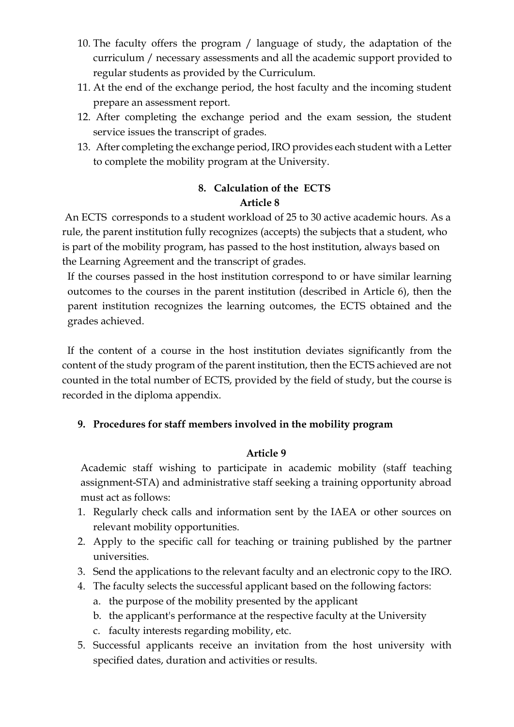- 10. The faculty offers the program / language of study, the adaptation of the curriculum / necessary assessments and all the academic support provided to regular students as provided by the Curriculum.
- 11. At the end of the exchange period, the host faculty and the incoming student prepare an assessment report.
- 12. After completing the exchange period and the exam session, the student service issues the transcript of grades.
- 13. After completing the exchange period, IRO provides each student with a Letter to complete the mobility program at the University.

## **8. Calculation of the ECTS Article 8**

An ECTS corresponds to a student workload of 25 to 30 active academic hours. As a rule, the parent institution fully recognizes (accepts) the subjects that a student, who is part of the mobility program, has passed to the host institution, always based on the Learning Agreement and the transcript of grades.

If the courses passed in the host institution correspond to or have similar learning outcomes to the courses in the parent institution (described in Article 6), then the parent institution recognizes the learning outcomes, the ECTS obtained and the grades achieved.

 If the content of a course in the host institution deviates significantly from the content of the study program of the parent institution, then the ECTS achieved are not counted in the total number of ECTS, provided by the field of study, but the course is recorded in the diploma appendix.

## **9. Procedures for staff members involved in the mobility program**

### **Article 9**

Academic staff wishing to participate in academic mobility (staff teaching assignment-STA) and administrative staff seeking a training opportunity abroad must act as follows:

- 1. Regularly check calls and information sent by the IAEA or other sources on relevant mobility opportunities.
- 2. Apply to the specific call for teaching or training published by the partner universities.
- 3. Send the applications to the relevant faculty and an electronic copy to the IRO.
- 4. The faculty selects the successful applicant based on the following factors:
	- a. the purpose of the mobility presented by the applicant
	- b. the applicant's performance at the respective faculty at the University
	- c. faculty interests regarding mobility, etc.
- 5. Successful applicants receive an invitation from the host university with specified dates, duration and activities or results.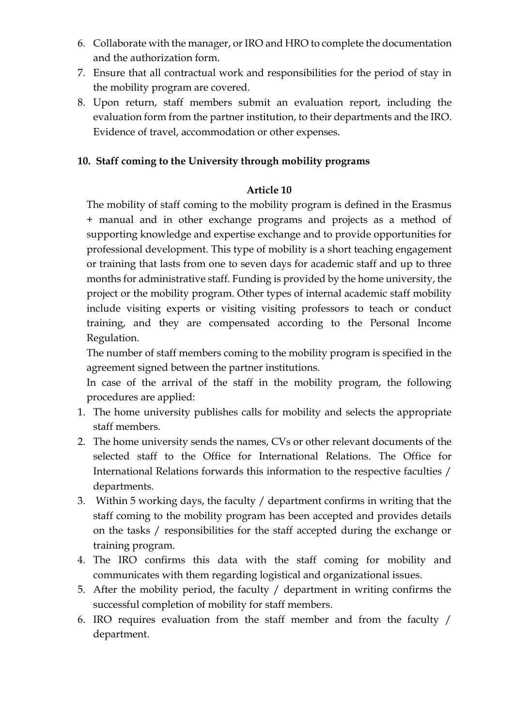- 6. Collaborate with the manager, or IRO and HRO to complete the documentation and the authorization form.
- 7. Ensure that all contractual work and responsibilities for the period of stay in the mobility program are covered.
- 8. Upon return, staff members submit an evaluation report, including the evaluation form from the partner institution, to their departments and the IRO. Evidence of travel, accommodation or other expenses.

### **10. Staff coming to the University through mobility programs**

#### **Article 10**

The mobility of staff coming to the mobility program is defined in the Erasmus + manual and in other exchange programs and projects as a method of supporting knowledge and expertise exchange and to provide opportunities for professional development. This type of mobility is a short teaching engagement or training that lasts from one to seven days for academic staff and up to three months for administrative staff. Funding is provided by the home university, the project or the mobility program. Other types of internal academic staff mobility include visiting experts or visiting visiting professors to teach or conduct training, and they are compensated according to the Personal Income Regulation.

The number of staff members coming to the mobility program is specified in the agreement signed between the partner institutions.

In case of the arrival of the staff in the mobility program, the following procedures are applied:

- 1. The home university publishes calls for mobility and selects the appropriate staff members.
- 2. The home university sends the names, CVs or other relevant documents of the selected staff to the Office for International Relations. The Office for International Relations forwards this information to the respective faculties / departments.
- 3. Within 5 working days, the faculty / department confirms in writing that the staff coming to the mobility program has been accepted and provides details on the tasks / responsibilities for the staff accepted during the exchange or training program.
- 4. The IRO confirms this data with the staff coming for mobility and communicates with them regarding logistical and organizational issues.
- 5. After the mobility period, the faculty / department in writing confirms the successful completion of mobility for staff members.
- 6. IRO requires evaluation from the staff member and from the faculty / department.